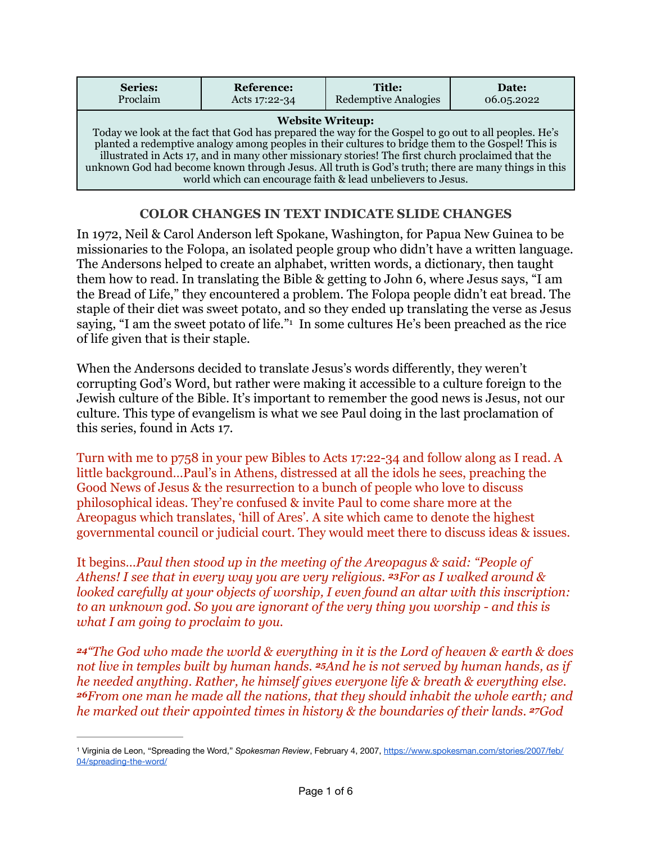| <b>Series:</b>                                                                                                                                                                                                                                                                                                                                                                                                                                                                                                      | <b>Reference:</b> | <b>Title:</b>               | Date:      |
|---------------------------------------------------------------------------------------------------------------------------------------------------------------------------------------------------------------------------------------------------------------------------------------------------------------------------------------------------------------------------------------------------------------------------------------------------------------------------------------------------------------------|-------------------|-----------------------------|------------|
| Proclaim                                                                                                                                                                                                                                                                                                                                                                                                                                                                                                            | Acts 17:22-34     | <b>Redemptive Analogies</b> | 06.05.2022 |
| <b>Website Writeup:</b><br>Today we look at the fact that God has prepared the way for the Gospel to go out to all peoples. He's<br>planted a redemptive analogy among peoples in their cultures to bridge them to the Gospel! This is<br>illustrated in Acts 17, and in many other missionary stories! The first church proclaimed that the<br>unknown God had become known through Jesus. All truth is God's truth; there are many things in this<br>world which can encourage faith & lead unbelievers to Jesus. |                   |                             |            |

## <span id="page-0-1"></span>**COLOR CHANGES IN TEXT INDICATE SLIDE CHANGES**

In 1972, Neil & Carol Anderson left Spokane, Washington, for Papua New Guinea to be missionaries to the Folopa, an isolated people group who didn't have a written language. The Andersons helped to create an alphabet, written words, a dictionary, then taught them how to read. In translating the Bible & getting to John 6, where Jesus says, "I am the Bread of Life," they encountered a problem. The Folopa people didn't eat bread. The staple of their diet was sweet potato, and so they ended up translating the verse as Jesus saying, "I am the sweet potato of life." In some cultures He's been preached as the rice of life given that is their staple.

When the Andersons decided to translate Jesus's words differently, they weren't corrupting God's Word, but rather were making it accessible to a culture foreign to the Jewish culture of the Bible. It's important to remember the good news is Jesus, not our culture. This type of evangelism is what we see Paul doing in the last proclamation of this series, found in Acts 17.

Turn with me to p758 in your pew Bibles to Acts 17:22-34 and follow along as I read. A little background…Paul's in Athens, distressed at all the idols he sees, preaching the Good News of Jesus & the resurrection to a bunch of people who love to discuss philosophical ideas. They're confused & invite Paul to come share more at the Areopagus which translates, 'hill of Ares'. A site which came to denote the highest governmental council or judicial court. They would meet there to discuss ideas & issues.

It begins…*Paul then stood up in the meeting of the Areopagus & said: "People of Athens! I see that in every way you are very religious. 23For as I walked around & looked carefully at your objects of worship, I even found an altar with this inscription: to an unknown god. So you are ignorant of the very thing you worship - and this is what I am going to proclaim to you.*

*<sup>24</sup>"The God who made the world & everything in it is the Lord of heaven & earth & does not live in temples built by human hands. 25And he is not served by human hands, as if he needed anything. Rather, he himself gives everyone life & breath & everything else. <sup>26</sup>From one man he made all the nations, that they should inhabit the whole earth; and he marked out their appointed times in history & the boundaries of their lands. 27God* 

<span id="page-0-0"></span>Virginia de Leon, "Spreading the Word," *Spokesman Review*, February 4, 2007, [https://www.spokesman.com/stories/2007/feb/](https://www.spokesman.com/stories/2007/feb/04/spreading-the-word/) [1](#page-0-1) [04/spreading-the-word/](https://www.spokesman.com/stories/2007/feb/04/spreading-the-word/)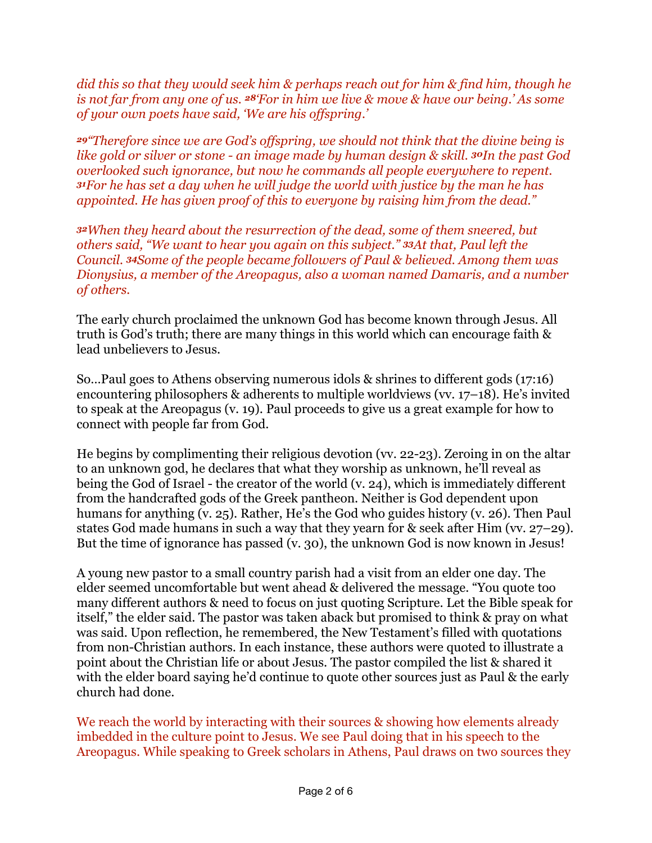*did this so that they would seek him & perhaps reach out for him & find him, though he is not far from any one of us. 28'For in him we live & move & have our being.' As some of your own poets have said, 'We are his offspring.'*

*<sup>29</sup>"Therefore since we are God's offspring, we should not think that the divine being is like gold or silver or stone - an image made by human design & skill. 30In the past God overlooked such ignorance, but now he commands all people everywhere to repent. <sup>31</sup>For he has set a day when he will judge the world with justice by the man he has appointed. He has given proof of this to everyone by raising him from the dead."*

*<sup>32</sup>When they heard about the resurrection of the dead, some of them sneered, but others said, "We want to hear you again on this subject." 33At that, Paul left the Council. 34Some of the people became followers of Paul & believed. Among them was Dionysius, a member of the Areopagus, also a woman named Damaris, and a number of others.*

The early church proclaimed the unknown God has become known through Jesus. All truth is God's truth; there are many things in this world which can encourage faith & lead unbelievers to Jesus.

So…Paul goes to Athens observing numerous idols & shrines to different gods (17:16) encountering philosophers & adherents to multiple worldviews (vv. 17–18). He's invited to speak at the Areopagus (v. 19). Paul proceeds to give us a great example for how to connect with people far from God.

He begins by complimenting their religious devotion (vv. 22-23). Zeroing in on the altar to an unknown god, he declares that what they worship as unknown, he'll reveal as being the God of Israel - the creator of the world (v. 24), which is immediately different from the handcrafted gods of the Greek pantheon. Neither is God dependent upon humans for anything (v. 25). Rather, He's the God who guides history (v. 26). Then Paul states God made humans in such a way that they yearn for & seek after Him (vv. 27–29). But the time of ignorance has passed (v. 30), the unknown God is now known in Jesus!

A young new pastor to a small country parish had a visit from an elder one day. The elder seemed uncomfortable but went ahead & delivered the message. "You quote too many different authors & need to focus on just quoting Scripture. Let the Bible speak for itself," the elder said. The pastor was taken aback but promised to think & pray on what was said. Upon reflection, he remembered, the New Testament's filled with quotations from non-Christian authors. In each instance, these authors were quoted to illustrate a point about the Christian life or about Jesus. The pastor compiled the list & shared it with the elder board saying he'd continue to quote other sources just as Paul & the early church had done.

We reach the world by interacting with their sources & showing how elements already imbedded in the culture point to Jesus. We see Paul doing that in his speech to the Areopagus. While speaking to Greek scholars in Athens, Paul draws on two sources they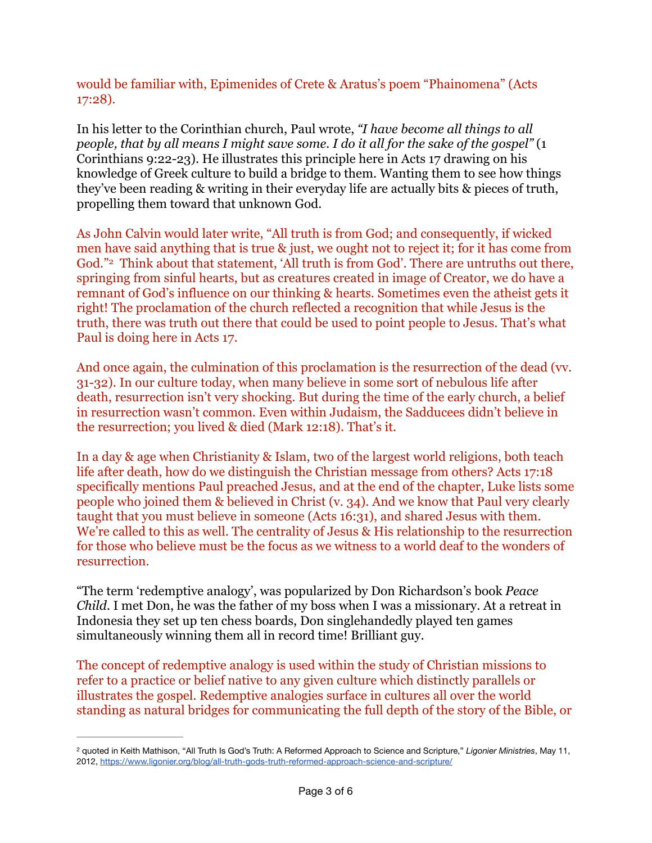would be familiar with, Epimenides of Crete & Aratus's poem "Phainomena" (Acts 17:28).

In his letter to the Corinthian church, Paul wrote, *"I have become all things to all people, that by all means I might save some. I do it all for the sake of the gospel"* (1 Corinthians 9:22-23). He illustrates this principle here in Acts 17 drawing on his knowledge of Greek culture to build a bridge to them. Wanting them to see how things they've been reading & writing in their everyday life are actually bits & pieces of truth, propelling them toward that unknown God.

<span id="page-2-1"></span>As John Calvin would later write, "All truth is from God; and consequently, if wicked men have said anything that is true & just, we ought not to reject it; for it has come from God."<sup>[2](#page-2-0)</sup> Think about that statement, 'All truth is from God'. There are untruths out there, springing from sinful hearts, but as creatures created in image of Creator, we do have a remnant of God's influence on our thinking & hearts. Sometimes even the atheist gets it right! The proclamation of the church reflected a recognition that while Jesus is the truth, there was truth out there that could be used to point people to Jesus. That's what Paul is doing here in Acts 17.

And once again, the culmination of this proclamation is the resurrection of the dead (vv. 31-32). In our culture today, when many believe in some sort of nebulous life after death, resurrection isn't very shocking. But during the time of the early church, a belief in resurrection wasn't common. Even within Judaism, the Sadducees didn't believe in the resurrection; you lived & died (Mark 12:18). That's it.

In a day & age when Christianity & Islam, two of the largest world religions, both teach life after death, how do we distinguish the Christian message from others? Acts 17:18 specifically mentions Paul preached Jesus, and at the end of the chapter, Luke lists some people who joined them & believed in Christ (v. 34). And we know that Paul very clearly taught that you must believe in someone (Acts 16:31), and shared Jesus with them. We're called to this as well. The centrality of Jesus & His relationship to the resurrection for those who believe must be the focus as we witness to a world deaf to the wonders of resurrection.

"The term 'redemptive analogy', was popularized by Don Richardson's book *Peace Child.* I met Don, he was the father of my boss when I was a missionary. At a retreat in Indonesia they set up ten chess boards, Don singlehandedly played ten games simultaneously winning them all in record time! Brilliant guy.

The concept of redemptive analogy is used within the study of Christian missions to refer to a practice or belief native to any given culture which distinctly parallels or illustrates the gospel. Redemptive analogies surface in cultures all over the world standing as natural bridges for communicating the full depth of the story of the Bible, or

<span id="page-2-0"></span><sup>&</sup>lt;sup>[2](#page-2-1)</sup> quoted in Keith Mathison, "All Truth Is God's Truth: A Reformed Approach to Science and Scripture," *Ligonier Ministries*, May 11, 2012,<https://www.ligonier.org/blog/all-truth-gods-truth-reformed-approach-science-and-scripture/>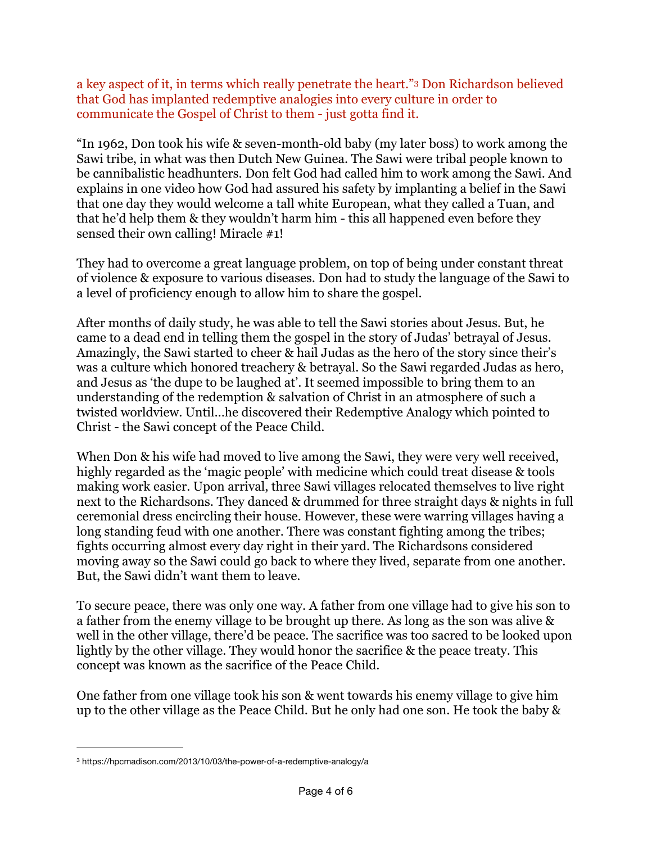<span id="page-3-1"></span>a key aspect of it, in terms which really penetrate the heart."<sup>[3](#page-3-0)</sup> Don Richardson believed that God has implanted redemptive analogies into every culture in order to communicate the Gospel of Christ to them - just gotta find it.

"In 1962, Don took his wife & seven-month-old baby (my later boss) to work among the Sawi tribe, in what was then Dutch New Guinea. The Sawi were tribal people known to be cannibalistic headhunters. Don felt God had called him to work among the Sawi. And explains in one video how God had assured his safety by implanting a belief in the Sawi that one day they would welcome a tall white European, what they called a Tuan, and that he'd help them & they wouldn't harm him - this all happened even before they sensed their own calling! Miracle #1!

They had to overcome a great language problem, on top of being under constant threat of violence & exposure to various diseases. Don had to study the language of the Sawi to a level of proficiency enough to allow him to share the gospel.

After months of daily study, he was able to tell the Sawi stories about Jesus. But, he came to a dead end in telling them the gospel in the story of Judas' betrayal of Jesus. Amazingly, the Sawi started to cheer & hail Judas as the hero of the story since their's was a culture which honored treachery & betrayal. So the Sawi regarded Judas as hero, and Jesus as 'the dupe to be laughed at'. It seemed impossible to bring them to an understanding of the redemption & salvation of Christ in an atmosphere of such a twisted worldview. Until…he discovered their Redemptive Analogy which pointed to Christ - the Sawi concept of the Peace Child.

When Don & his wife had moved to live among the Sawi, they were very well received, highly regarded as the 'magic people' with medicine which could treat disease & tools making work easier. Upon arrival, three Sawi villages relocated themselves to live right next to the Richardsons. They danced & drummed for three straight days & nights in full ceremonial dress encircling their house. However, these were warring villages having a long standing feud with one another. There was constant fighting among the tribes; fights occurring almost every day right in their yard. The Richardsons considered moving away so the Sawi could go back to where they lived, separate from one another. But, the Sawi didn't want them to leave.

To secure peace, there was only one way. A father from one village had to give his son to a father from the enemy village to be brought up there. As long as the son was alive & well in the other village, there'd be peace. The sacrifice was too sacred to be looked upon lightly by the other village. They would honor the sacrifice & the peace treaty. This concept was known as the sacrifice of the Peace Child.

One father from one village took his son & went towards his enemy village to give him up to the other village as the Peace Child. But he only had one son. He took the baby &

<span id="page-3-0"></span>[<sup>3</sup>](#page-3-1) https://hpcmadison.com/2013/10/03/the-power-of-a-redemptive-analogy/a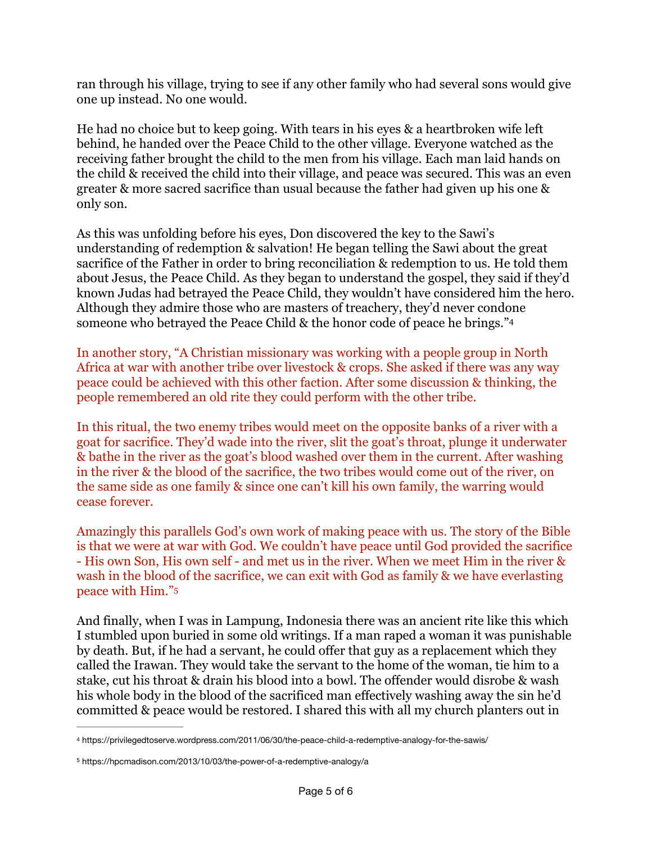ran through his village, trying to see if any other family who had several sons would give one up instead. No one would.

He had no choice but to keep going. With tears in his eyes & a heartbroken wife left behind, he handed over the Peace Child to the other village. Everyone watched as the receiving father brought the child to the men from his village. Each man laid hands on the child & received the child into their village, and peace was secured. This was an even greater & more sacred sacrifice than usual because the father had given up his one & only son.

As this was unfolding before his eyes, Don discovered the key to the Sawi's understanding of redemption & salvation! He began telling the Sawi about the great sacrifice of the Father in order to bring reconciliation & redemption to us. He told them about Jesus, the Peace Child. As they began to understand the gospel, they said if they'd known Judas had betrayed the Peace Child, they wouldn't have considered him the hero. Although they admire those who are masters of treachery, they'd never condone someone who betrayed the Peace Child & the honor code of peace he brings.["4](#page-4-0)

<span id="page-4-2"></span>In another story, "A Christian missionary was working with a people group in North Africa at war with another tribe over livestock & crops. She asked if there was any way peace could be achieved with this other faction. After some discussion & thinking, the people remembered an old rite they could perform with the other tribe.

In this ritual, the two enemy tribes would meet on the opposite banks of a river with a goat for sacrifice. They'd wade into the river, slit the goat's throat, plunge it underwater & bathe in the river as the goat's blood washed over them in the current. After washing in the river & the blood of the sacrifice, the two tribes would come out of the river, on the same side as one family & since one can't kill his own family, the warring would cease forever.

Amazingly this parallels God's own work of making peace with us. The story of the Bible is that we were at war with God. We couldn't have peace until God provided the sacrifice - His own Son, His own self - and met us in the river. When we meet Him in the river & wash in the blood of the sacrifice, we can exit with God as family & we have everlasting peace with Him.["5](#page-4-1)

<span id="page-4-3"></span>And finally, when I was in Lampung, Indonesia there was an ancient rite like this which I stumbled upon buried in some old writings. If a man raped a woman it was punishable by death. But, if he had a servant, he could offer that guy as a replacement which they called the Irawan. They would take the servant to the home of the woman, tie him to a stake, cut his throat & drain his blood into a bowl. The offender would disrobe & wash his whole body in the blood of the sacrificed man effectively washing away the sin he'd committed & peace would be restored. I shared this with all my church planters out in

<span id="page-4-0"></span>https://privilegedtoserve.wordpress.com/2011/06/30/the-peace-child-a-redemptive-analogy-for-the-sawis/ [4](#page-4-2)

<span id="page-4-1"></span>[<sup>5</sup>](#page-4-3) https://hpcmadison.com/2013/10/03/the-power-of-a-redemptive-analogy/a